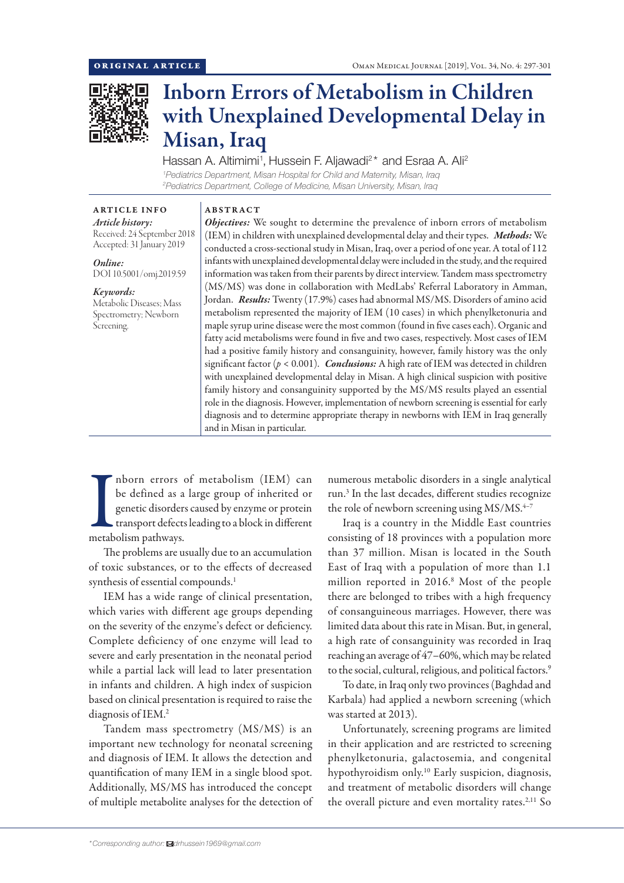

# Inborn Errors of Metabolism in Children with Unexplained Developmental Delay in Misan, Iraq

Hassan A. Altimimi<sup>1</sup>, Hussein F. Aljawadi<sup>2\*</sup> and Esraa A. Ali<sup>2</sup> *1 Pediatrics Department, Misan Hospital for Child and Maternity, Misan, Iraq 2 Pediatrics Department, College of Medicine, Misan University, Misan, Iraq*

# ARTICLE INFO *Article history:*

Received: 24 September 2018 Accepted: 31 January 2019

*Online:* DOI 10.5001/omj.2019.59

## *Keywords:*

Metabolic Diseases; Mass Spectrometry; Newborn Screening.

ABSTRACT *Objectives:* We sought to determine the prevalence of inborn errors of metabolism (IEM) in children with unexplained developmental delay and their types. *Methods:* We conducted a cross-sectional study in Misan, Iraq, over a period of one year. A total of 112 infants with unexplained developmental delay were included in the study, and the required information was taken from their parents by direct interview. Tandem mass spectrometry (MS/MS) was done in collaboration with MedLabs' Referral Laboratory in Amman, Jordan. *Results:* Twenty (17.9%) cases had abnormal MS/MS. Disorders of amino acid metabolism represented the majority of IEM (10 cases) in which phenylketonuria and maple syrup urine disease were the most common (found in five cases each). Organic and fatty acid metabolisms were found in five and two cases, respectively. Most cases of IEM had a positive family history and consanguinity, however, family history was the only significant factor  $(p < 0.001)$ . *Conclusions:* A high rate of IEM was detected in children with unexplained developmental delay in Misan. A high clinical suspicion with positive family history and consanguinity supported by the MS/MS results played an essential role in the diagnosis. However, implementation of newborn screening is essential for early diagnosis and to determine appropriate therapy in newborns with IEM in Iraq generally and in Misan in particular.

 $\begin{tabular}{|c|c|} \hline \textbf{h} \textbf{born errors} \\ \textbf{be defined as a} \\ \textbf{genetic disorder} \\ \textbf{transport defect} \\ \textbf{metabolism pathways.} \end{tabular}$ nborn errors of metabolism (IEM) can be defined as a large group of inherited or genetic disorders caused by enzyme or protein transport defects leading to a block in different

The problems are usually due to an accumulation of toxic substances, or to the effects of decreased synthesis of essential compounds.<sup>1</sup>

IEM has a wide range of clinical presentation, which varies with different age groups depending on the severity of the enzyme's defect or deficiency. Complete deficiency of one enzyme will lead to severe and early presentation in the neonatal period while a partial lack will lead to later presentation in infants and children. A high index of suspicion based on clinical presentation is required to raise the diagnosis of IEM.2

Tandem mass spectrometry (MS/MS) is an important new technology for neonatal screening and diagnosis of IEM. It allows the detection and quantification of many IEM in a single blood spot. Additionally, MS/MS has introduced the concept of multiple metabolite analyses for the detection of numerous metabolic disorders in a single analytical run.3 In the last decades, different studies recognize the role of newborn screening using  $MS/MS$ .<sup>4-7</sup>

Iraq is a country in the Middle East countries consisting of 18 provinces with a population more than 37 million. Misan is located in the South East of Iraq with a population of more than 1.1 million reported in 2016.8 Most of the people there are belonged to tribes with a high frequency of consanguineous marriages. However, there was limited data about this rate in Misan. But, in general, a high rate of consanguinity was recorded in Iraq reaching an average of 47–60%, which may be related to the social, cultural, religious, and political factors.<sup>9</sup>

To date, in Iraq only two provinces (Baghdad and Karbala) had applied a newborn screening (which was started at 2013).

Unfortunately, screening programs are limited in their application and are restricted to screening phenylketonuria, galactosemia, and congenital hypothyroidism only.<sup>10</sup> Early suspicion, diagnosis, and treatment of metabolic disorders will change the overall picture and even mortality rates.<sup>2,11</sup> So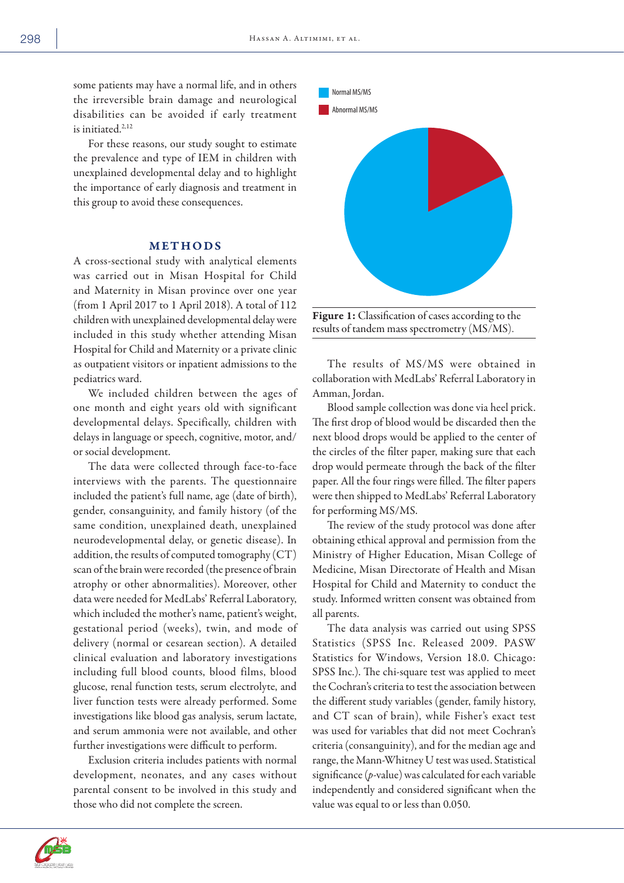some patients may have a normal life, and in others the irreversible brain damage and neurological disabilities can be avoided if early treatment is initiated.2,12

For these reasons, our study sought to estimate the prevalence and type of IEM in children with unexplained developmental delay and to highlight the importance of early diagnosis and treatment in this group to avoid these consequences.

### METHODS

A cross-sectional study with analytical elements was carried out in Misan Hospital for Child and Maternity in Misan province over one year (from 1 April 2017 to 1 April 2018). A total of 112 children with unexplained developmental delay were included in this study whether attending Misan Hospital for Child and Maternity or a private clinic as outpatient visitors or inpatient admissions to the pediatrics ward.

We included children between the ages of one month and eight years old with significant developmental delays. Specifically, children with delays in language or speech, cognitive, motor, and/ or social development.

The data were collected through face-to-face interviews with the parents. The questionnaire included the patient's full name, age (date of birth), gender, consanguinity, and family history (of the same condition, unexplained death, unexplained neurodevelopmental delay, or genetic disease). In addition, the results of computed tomography (CT) scan of the brain were recorded (the presence of brain atrophy or other abnormalities). Moreover, other data were needed for MedLabs' Referral Laboratory, which included the mother's name, patient's weight, gestational period (weeks), twin, and mode of delivery (normal or cesarean section). A detailed clinical evaluation and laboratory investigations including full blood counts, blood films, blood glucose, renal function tests, serum electrolyte, and liver function tests were already performed. Some investigations like blood gas analysis, serum lactate, and serum ammonia were not available, and other further investigations were difficult to perform.

Exclusion criteria includes patients with normal development, neonates, and any cases without parental consent to be involved in this study and those who did not complete the screen.



Figure 1: Classification of cases according to the results of tandem mass spectrometry (MS/MS).

The results of MS/MS were obtained in collaboration with MedLabs' Referral Laboratory in Amman, Jordan.

Blood sample collection was done via heel prick. The first drop of blood would be discarded then the next blood drops would be applied to the center of the circles of the filter paper, making sure that each drop would permeate through the back of the filter paper. All the four rings were filled. The filter papers were then shipped to MedLabs' Referral Laboratory for performing MS/MS.

The review of the study protocol was done after obtaining ethical approval and permission from the Ministry of Higher Education, Misan College of Medicine, Misan Directorate of Health and Misan Hospital for Child and Maternity to conduct the study. Informed written consent was obtained from all parents.

The data analysis was carried out using SPSS Statistics (SPSS Inc. Released 2009. PASW Statistics for Windows, Version 18.0. Chicago: SPSS Inc.). The chi-square test was applied to meet the Cochran's criteria to test the association between the different study variables (gender, family history, and CT scan of brain), while Fisher's exact test was used for variables that did not meet Cochran's criteria (consanguinity), and for the median age and range, the Mann-Whitney U test was used. Statistical significance (*p*-value) was calculated for each variable independently and considered significant when the value was equal to or less than 0.050.



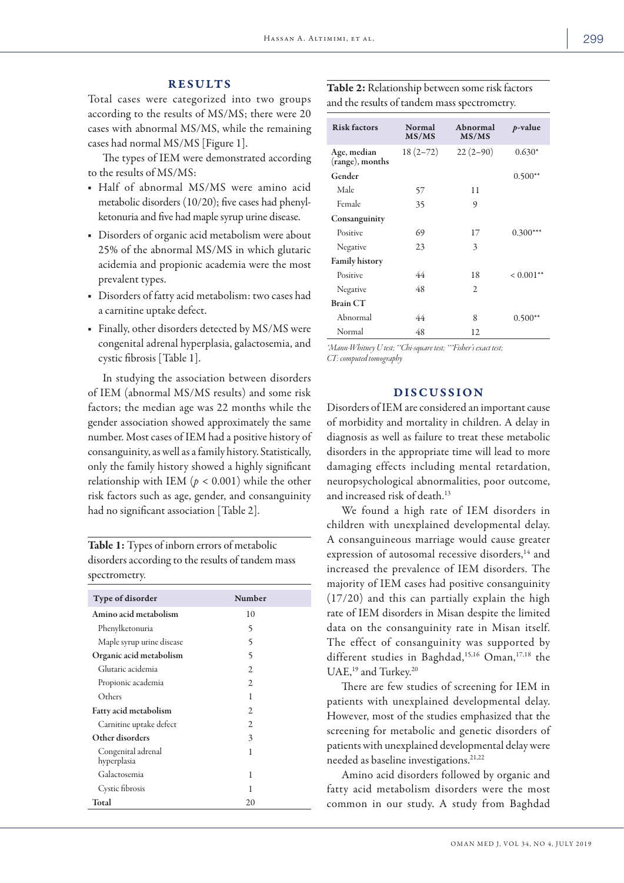#### RESULTS

Total cases were categorized into two groups according to the results of MS/MS; there were 20 cases with abnormal MS/MS, while the remaining cases had normal MS/MS [Figure 1].

The types of IEM were demonstrated according to the results of MS/MS:

- Half of abnormal MS/MS were amino acid metabolic disorders (10/20); five cases had phenylketonuria and five had maple syrup urine disease.
- Disorders of organic acid metabolism were about 25% of the abnormal MS/MS in which glutaric acidemia and propionic academia were the most prevalent types.
- Disorders of fatty acid metabolism: two cases had a carnitine uptake defect.
- Finally, other disorders detected by MS/MS were congenital adrenal hyperplasia, galactosemia, and cystic fibrosis [Table 1].

In studying the association between disorders of IEM (abnormal MS/MS results) and some risk factors; the median age was 22 months while the gender association showed approximately the same number. Most cases of IEM had a positive history of consanguinity, as well as a family history. Statistically, only the family history showed a highly significant relationship with IEM ( $p < 0.001$ ) while the other risk factors such as age, gender, and consanguinity had no significant association [Table 2].

Table 1: Types of inborn errors of metabolic disorders according to the results of tandem mass spectrometry.

| Type of disorder                  | <b>Number</b>  |
|-----------------------------------|----------------|
| Amino acid metabolism             | 10             |
| Phenylketonuria                   | 5              |
| Maple syrup urine disease         | 5              |
| Organic acid metabolism           | 5              |
| Glutaric acidemia                 | 2              |
| Propionic academia                | $\mathfrak{D}$ |
| Others                            | 1              |
| <b>Fatty acid metabolism</b>      | 2              |
| Carnitine uptake defect           | $\mathfrak{D}$ |
| Other disorders                   | 3              |
| Congenital adrenal<br>hyperplasia | 1              |
| Galactosemia                      | 1              |
| Cystic fibrosis                   | 1              |
| Total                             | 20             |

|                                              | <b>Table 2:</b> Relationship between some risk factors |
|----------------------------------------------|--------------------------------------------------------|
| and the results of tandem mass spectrometry. |                                                        |

| <b>Risk factors</b>            | Normal<br>MS/MS | Abnormal<br>MS/MS | $p$ -value   |
|--------------------------------|-----------------|-------------------|--------------|
| Age, median<br>(range), months | $18(2-72)$      | $22(2-90)$        | $0.630*$     |
| Gender                         |                 |                   | $0.500**$    |
| Male                           | 57              | 11                |              |
| Female                         | 35              | 9                 |              |
| Consanguinity                  |                 |                   |              |
| Positive                       | 69              | 17                | $0.300***$   |
| Negative                       | 23              | 3                 |              |
| <b>Family history</b>          |                 |                   |              |
| Positive                       | 44              | 18                | $< 0.001$ ** |
| Negative                       | 48              | 2                 |              |
| <b>Brain CT</b>                |                 |                   |              |
| Abnormal                       | 44              | 8                 | $0.500**$    |
| Normal                         | 48              | 12                |              |

*\*Mann-Whitney U test; \*\*Chi-square test; \*\*\*Fisher's exact test; CT: computed tomography*

#### DISCUSSION

Disorders of IEM are considered an important cause of morbidity and mortality in children. A delay in diagnosis as well as failure to treat these metabolic disorders in the appropriate time will lead to more damaging effects including mental retardation, neuropsychological abnormalities, poor outcome, and increased risk of death.<sup>13</sup>

We found a high rate of IEM disorders in children with unexplained developmental delay. A consanguineous marriage would cause greater expression of autosomal recessive disorders,<sup>14</sup> and increased the prevalence of IEM disorders. The majority of IEM cases had positive consanguinity (17/20) and this can partially explain the high rate of IEM disorders in Misan despite the limited data on the consanguinity rate in Misan itself. The effect of consanguinity was supported by different studies in Baghdad,<sup>15,16</sup> Oman,<sup>17,18</sup> the UAE,<sup>19</sup> and Turkey.<sup>20</sup>

There are few studies of screening for IEM in patients with unexplained developmental delay. However, most of the studies emphasized that the screening for metabolic and genetic disorders of patients with unexplained developmental delay were needed as baseline investigations.21,22

Amino acid disorders followed by organic and fatty acid metabolism disorders were the most common in our study. A study from Baghdad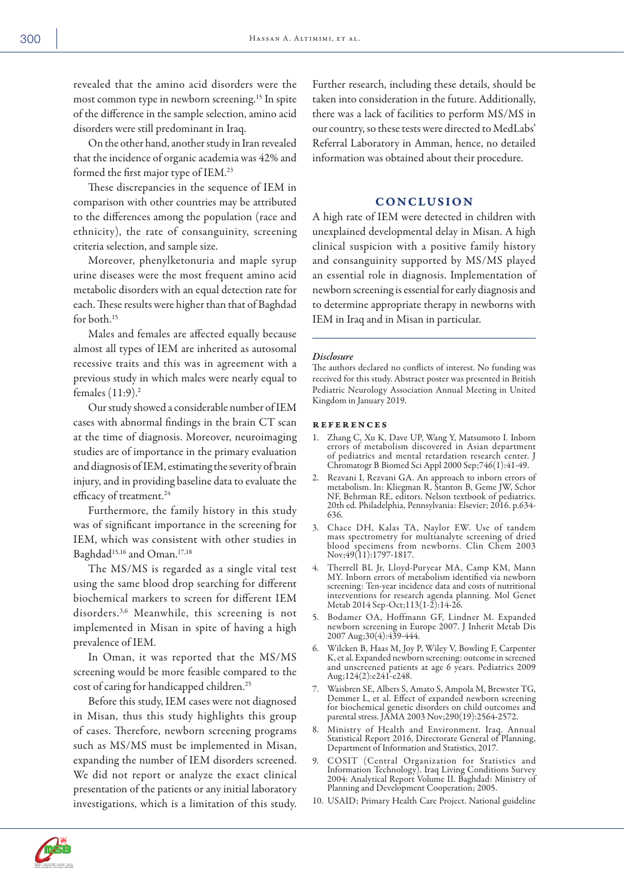revealed that the amino acid disorders were the most common type in newborn screening.15 In spite of the difference in the sample selection, amino acid disorders were still predominant in Iraq.

On the other hand, another study in Iran revealed that the incidence of organic academia was 42% and formed the first major type of IEM.23

These discrepancies in the sequence of IEM in comparison with other countries may be attributed to the differences among the population (race and ethnicity), the rate of consanguinity, screening criteria selection, and sample size.

Moreover, phenylketonuria and maple syrup urine diseases were the most frequent amino acid metabolic disorders with an equal detection rate for each. These results were higher than that of Baghdad for both.<sup>15</sup>

Males and females are affected equally because almost all types of IEM are inherited as autosomal recessive traits and this was in agreement with a previous study in which males were nearly equal to females (11:9).2

Our study showed a considerable number of IEM cases with abnormal findings in the brain CT scan at the time of diagnosis. Moreover, neuroimaging studies are of importance in the primary evaluation and diagnosis of IEM, estimating the severity of brain injury, and in providing baseline data to evaluate the efficacy of treatment.<sup>24</sup>

Furthermore, the family history in this study was of significant importance in the screening for IEM, which was consistent with other studies in Baghdad<sup>15,16</sup> and Oman.<sup>17,18</sup>

The MS/MS is regarded as a single vital test using the same blood drop searching for different biochemical markers to screen for different IEM disorders.3,6 Meanwhile, this screening is not implemented in Misan in spite of having a high prevalence of IEM.

In Oman, it was reported that the MS/MS screening would be more feasible compared to the cost of caring for handicapped children.<sup>25</sup>

Before this study, IEM cases were not diagnosed in Misan, thus this study highlights this group of cases. Therefore, newborn screening programs such as MS/MS must be implemented in Misan, expanding the number of IEM disorders screened. We did not report or analyze the exact clinical presentation of the patients or any initial laboratory investigations, which is a limitation of this study. Further research, including these details, should be taken into consideration in the future. Additionally, there was a lack of facilities to perform MS/MS in our country, so these tests were directed to MedLabs' Referral Laboratory in Amman, hence, no detailed information was obtained about their procedure.

## **CONCLUSION**

A high rate of IEM were detected in children with unexplained developmental delay in Misan. A high clinical suspicion with a positive family history and consanguinity supported by MS/MS played an essential role in diagnosis. Implementation of newborn screening is essential for early diagnosis and to determine appropriate therapy in newborns with IEM in Iraq and in Misan in particular.

#### *Disclosure*

The authors declared no conflicts of interest. No funding was received for this study. Abstract poster was presented in British Pediatric Neurology Association Annual Meeting in United Kingdom in January 2019.

#### references

- 1. Zhang C, Xu K, Dave UP, Wang Y, Matsumoto I. Inborn errors of metabolism discovered in Asian department of pediatrics and mental retardation research center. J Chromatogr B Biomed Sci Appl 2000 Sep;746(1):41-49.
- 2. Rezvani I, Rezvani GA. An approach to inborn errors of metabolism. In: Kliegman R, Stanton B, Geme JW, Schor NF, Behrman RE, editors. Nelson textbook of pediatrics. 20th ed. Philadelphia, Pennsylvania: Elsevier; 2016. p.634- 636.
- 3. Chace DH, Kalas TA, Naylor EW. Use of tandem mass spectrometry for multianalyte screening of dried blood specimens from newborns. Clin Chem 2003 Nov;49(11):1797-1817.
- 4. Therrell BL Jr, Lloyd-Puryear MA, Camp KM, Mann MY. Inborn errors of metabolism identified via newborn screening: Ten-year incidence data and costs of nutritional interventions for research agenda planning. Mol Genet Metab 2014 Sep-Oct;113(1-2):14-26.
- 5. Bodamer OA, Hoffmann GF, Lindner M. Expanded newborn screening in Europe 2007. J Inherit Metab Dis 2007 Aug;30(4):439-444.
- 6. Wilcken B, Haas M, Joy P, Wiley V, Bowling F, Carpenter K, et al. Expanded newborn screening: outcome in screened and unscreened patients at age 6 years. Pediatrics 2009 Aug;124(2):e241-e248.
- 7. Waisbren SE, Albers S, Amato S, Ampola M, Brewster TG, Demmer L, et al. Effect of expanded newborn screening for biochemical genetic disorders on child outcomes and parental stress. JAMA 2003 Nov;290(19):2564-2572.
- 8. Ministry of Health and Environment. Iraq. Annual Statistical Report 2016, Directorate General of Planning, Department of Information and Statistics, 2017.
- 9. COSIT (Central Organization for Statistics and Information Technology). Iraq Living Conditions Survey 2004: Analytical Report Volume II. Baghdad: Ministry of Planning and Development Cooperation; 2005.
- 10. USAID; Primary Health Care Project. National guideline